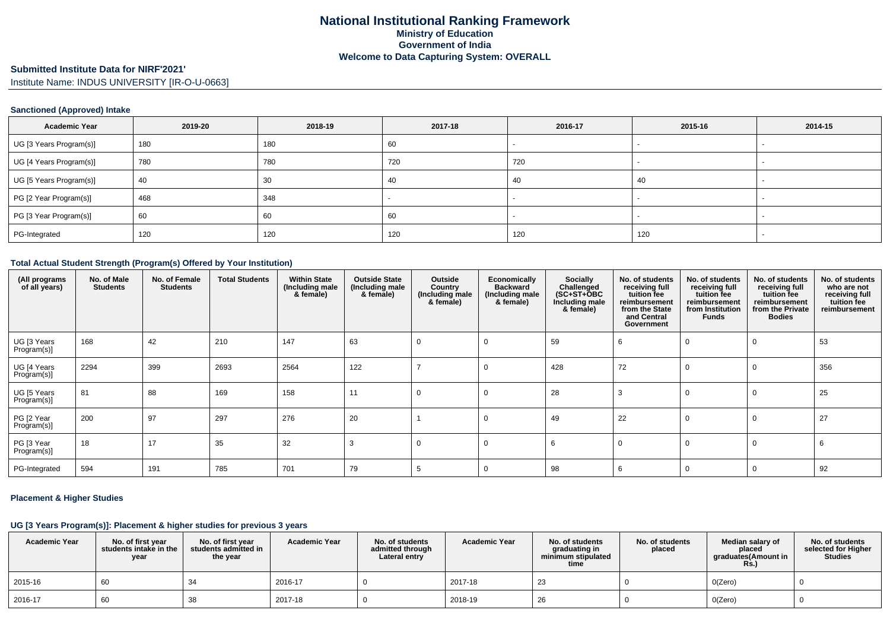# **Submitted Institute Data for NIRF'2021'**

Institute Name: INDUS UNIVERSITY [IR-O-U-0663]

### **Sanctioned (Approved) Intake**

| <b>Academic Year</b>    | 2019-20 | 2018-19 | 2017-18 | 2016-17 | 2015-16                  | 2014-15 |
|-------------------------|---------|---------|---------|---------|--------------------------|---------|
| UG [3 Years Program(s)] | 180     | 180     | 60      |         | $\overline{\phantom{0}}$ |         |
| UG [4 Years Program(s)] | 780     | 780     | 720     | 720     |                          |         |
| UG [5 Years Program(s)] | 40      | 30      | -40     | 40      | 40                       |         |
| PG [2 Year Program(s)]  | 468     | 348     |         |         |                          |         |
| PG [3 Year Program(s)]  | 60      | 60      | 60      |         |                          |         |
| PG-Integrated           | 120     | 120     | 120     | 120     | 120                      |         |

#### **Total Actual Student Strength (Program(s) Offered by Your Institution)**

| (All programs<br>of all years) | No. of Male<br><b>Students</b> | No. of Female<br><b>Students</b> | <b>Total Students</b> | <b>Within State</b><br>(Including male<br>& female) | <b>Outside State</b><br>(Including male<br>& female) | Outside<br>Country<br>(Including male<br>& female) | Economically<br><b>Backward</b><br>(Including male<br>& female) | Socially<br>Challenged<br>$(SC+ST+OBC$<br>Including male<br>& female) | No. of students<br>receiving full<br>tuition fee<br>reimbursement<br>from the State<br>and Central<br>Government | No. of students<br>receiving full<br>tuition fee<br>reimbursement<br>from Institution<br><b>Funds</b> | No. of students<br>receiving full<br>tuition fee<br>reimbursement<br>from the Private<br><b>Bodies</b> | No. of students<br>who are not<br>receiving full<br>tuition fee<br>reimbursement |
|--------------------------------|--------------------------------|----------------------------------|-----------------------|-----------------------------------------------------|------------------------------------------------------|----------------------------------------------------|-----------------------------------------------------------------|-----------------------------------------------------------------------|------------------------------------------------------------------------------------------------------------------|-------------------------------------------------------------------------------------------------------|--------------------------------------------------------------------------------------------------------|----------------------------------------------------------------------------------|
| UG [3 Years<br>Program(s)]     | 168                            | 42                               | 210                   | 147                                                 | 63                                                   | 0                                                  | 0                                                               | 59                                                                    | -6                                                                                                               | 0                                                                                                     | 0                                                                                                      | 53                                                                               |
| UG [4 Years<br>Program(s)]     | 2294                           | 399                              | 2693                  | 2564                                                | 122                                                  |                                                    | C.                                                              | 428                                                                   | 72                                                                                                               | 0                                                                                                     | 0                                                                                                      | 356                                                                              |
| UG [5 Years<br>Program(s)]     | 81                             | 88                               | 169                   | 158                                                 | 11                                                   | 0                                                  | $\Omega$                                                        | 28                                                                    | 3                                                                                                                | 0                                                                                                     | $\mathbf 0$                                                                                            | 25                                                                               |
| PG [2 Year<br>Program(s)]      | 200                            | 97                               | 297                   | 276                                                 | 20                                                   |                                                    | C                                                               | 49                                                                    | 22                                                                                                               | 0                                                                                                     | 0                                                                                                      | 27                                                                               |
| PG [3 Year<br>Program(s)]      | 18                             | 17                               | 35                    | 32                                                  | 3                                                    | 0                                                  | C                                                               | 6                                                                     |                                                                                                                  | 0                                                                                                     | $\mathbf 0$                                                                                            | 6                                                                                |
| PG-Integrated                  | 594                            | 191                              | 785                   | 701                                                 | 79                                                   |                                                    |                                                                 | 98                                                                    | 6                                                                                                                | $\Omega$                                                                                              | 0                                                                                                      | 92                                                                               |

### **Placement & Higher Studies**

### **UG [3 Years Program(s)]: Placement & higher studies for previous 3 years**

| <b>Academic Year</b> | No. of first vear<br>students intake in the<br>year | No. of first year<br>students admitted in<br>the year | <b>Academic Year</b> | No. of students<br>admitted through<br>Lateral entry | <b>Academic Year</b> | No. of students<br>graduating in<br>minimum stipulated<br>time | No. of students<br>placed | Median salary of<br>placed<br>graduates(Amount in<br><b>Rs.</b> ) | No. of students<br>selected for Higher<br><b>Studies</b> |
|----------------------|-----------------------------------------------------|-------------------------------------------------------|----------------------|------------------------------------------------------|----------------------|----------------------------------------------------------------|---------------------------|-------------------------------------------------------------------|----------------------------------------------------------|
| 2015-16              | 60                                                  |                                                       | 2016-17              |                                                      | 2017-18              | -23                                                            |                           | O(Zero)                                                           |                                                          |
| 2016-17              | 60                                                  |                                                       | 2017-18              |                                                      | 2018-19              | 26                                                             |                           | O(Zero)                                                           |                                                          |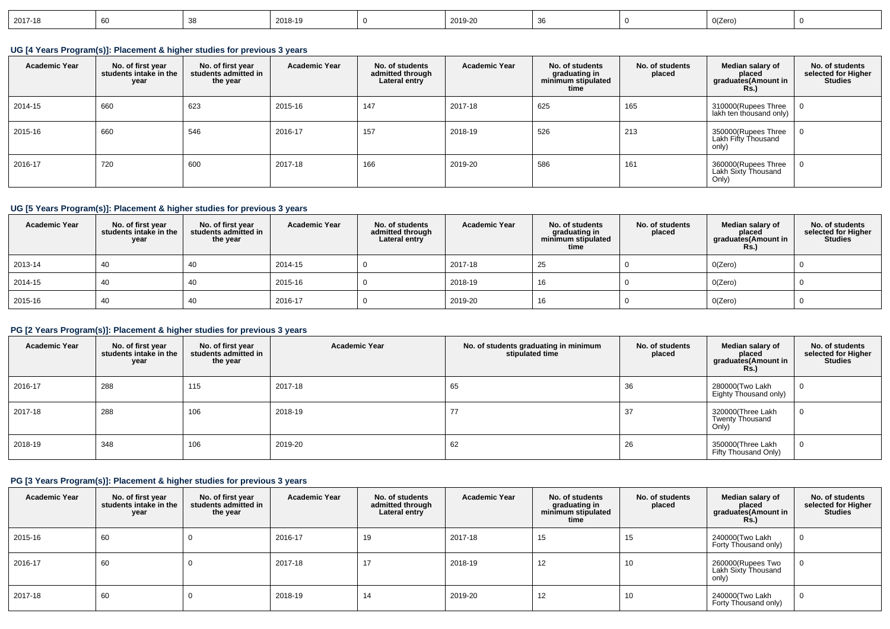| 2017-18<br>2018-19<br>2019-20<br>. EM |  | 0(Zero) |  |
|---------------------------------------|--|---------|--|
|---------------------------------------|--|---------|--|

**UG [4 Years Program(s)]: Placement & higher studies for previous 3 years**

| <b>Academic Year</b> | No. of first year<br>students intake in the<br>year | No. of first vear<br>students admitted in<br>the year | <b>Academic Year</b> | No. of students<br>admitted through<br>Lateral entry | <b>Academic Year</b> | No. of students<br>graduating in<br>minimum stipulated<br>time | No. of students<br>placed | Median salary of<br>placed<br>graduates(Amount in<br><b>Rs.</b> ) | No. of students<br>selected for Higher<br><b>Studies</b> |
|----------------------|-----------------------------------------------------|-------------------------------------------------------|----------------------|------------------------------------------------------|----------------------|----------------------------------------------------------------|---------------------------|-------------------------------------------------------------------|----------------------------------------------------------|
| 2014-15              | 660                                                 | 623                                                   | 2015-16              | 147                                                  | 2017-18              | 625                                                            | 165                       | 310000(Rupees Three  <br>lakh ten thousand only)                  |                                                          |
| 2015-16              | 660                                                 | 546                                                   | 2016-17              | 157                                                  | 2018-19              | 526                                                            | 213                       | 350000(Rupees Three<br>Lakh Fifty Thousand<br>only)               |                                                          |
| 2016-17              | 720                                                 | 600                                                   | 2017-18              | 166                                                  | 2019-20              | 586                                                            | 161                       | 360000(Rupees Three<br>Lakh Sixty Thousand<br>Only)               |                                                          |

## **UG [5 Years Program(s)]: Placement & higher studies for previous 3 years**

| <b>Academic Year</b> | No. of first year<br>students intake in the<br>year | No. of first year<br>students admitted in<br>the year | <b>Academic Year</b> | No. of students<br>admitted through<br>Lateral entry | <b>Academic Year</b> | No. of students<br>graduating in<br>minimum stipulated<br>time | No. of students<br>placed | Median salary of<br>placed<br>graduates(Amount in<br><b>Rs.</b> ) | No. of students<br>selected for Higher<br><b>Studies</b> |
|----------------------|-----------------------------------------------------|-------------------------------------------------------|----------------------|------------------------------------------------------|----------------------|----------------------------------------------------------------|---------------------------|-------------------------------------------------------------------|----------------------------------------------------------|
| 2013-14              | 40                                                  | 40                                                    | 2014-15              |                                                      | 2017-18              | 25                                                             |                           | 0(Zero)                                                           | <b>O</b>                                                 |
| 2014-15              | 40                                                  | 40                                                    | 2015-16              |                                                      | 2018-19              | 16                                                             |                           | 0(Zero)                                                           |                                                          |
| 2015-16              | 40                                                  | 40                                                    | 2016-17              |                                                      | 2019-20              | 16                                                             |                           | 0(Zero)                                                           | -0                                                       |

# **PG [2 Years Program(s)]: Placement & higher studies for previous 3 years**

| <b>Academic Year</b> | No. of first year<br>students intake in the<br>year | No. of first year<br>students admitted in<br>the year | <b>Academic Year</b> | No. of students graduating in minimum<br>stipulated time | No. of students<br>placed | Median salary of<br>placed<br>graduates(Amount in<br><b>Rs.)</b> | No. of students<br>selected for Higher<br><b>Studies</b> |
|----------------------|-----------------------------------------------------|-------------------------------------------------------|----------------------|----------------------------------------------------------|---------------------------|------------------------------------------------------------------|----------------------------------------------------------|
| 2016-17              | 288                                                 | 115                                                   | 2017-18              | 65                                                       | 36                        | 280000(Two Lakh<br>Eighty Thousand only)                         |                                                          |
| 2017-18              | 288                                                 | 106                                                   | 2018-19              | 77                                                       | 37                        | 320000(Three Lakh<br>Twenty Thousand<br>Only)                    |                                                          |
| 2018-19              | 348                                                 | 106                                                   | 2019-20              | 62                                                       | 26                        | 350000(Three Lakh<br>Fifty Thousand Only)                        |                                                          |

# **PG [3 Years Program(s)]: Placement & higher studies for previous 3 years**

| <b>Academic Year</b> | No. of first year<br>students intake in the<br>year | No. of first vear<br>students admitted in<br>the year | <b>Academic Year</b> | No. of students<br>admitted through<br>Lateral entry | <b>Academic Year</b> | No. of students<br>graduating in<br>minimum stipulated<br>time | No. of students<br>placed | Median salary of<br>placed<br>graduates(Amount in<br><b>Rs.)</b> | No. of students<br>selected for Higher<br><b>Studies</b> |
|----------------------|-----------------------------------------------------|-------------------------------------------------------|----------------------|------------------------------------------------------|----------------------|----------------------------------------------------------------|---------------------------|------------------------------------------------------------------|----------------------------------------------------------|
| 2015-16              | 60                                                  |                                                       | 2016-17              | 19                                                   | 2017-18              | 15                                                             | 15                        | 240000(Two Lakh<br>Forty Thousand only)                          |                                                          |
| 2016-17              | 60                                                  |                                                       | 2017-18              | 17                                                   | 2018-19              | 12                                                             | 10                        | 260000(Rupees Two<br>Lakh Sixty Thousand<br>only)                |                                                          |
| 2017-18              | 60                                                  |                                                       | 2018-19              | 14                                                   | 2019-20              | 12                                                             | 10                        | 240000(Two Lakh<br>Forty Thousand only)                          |                                                          |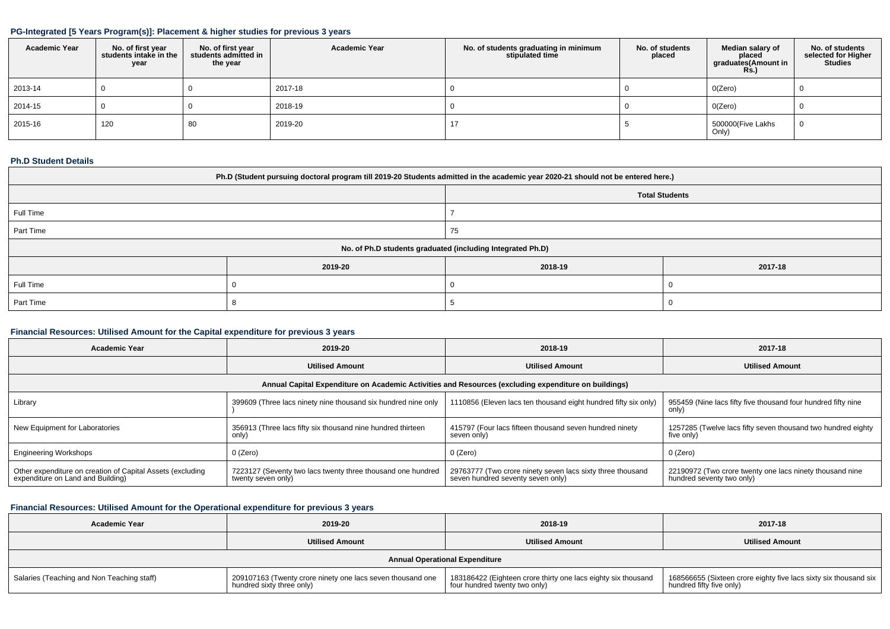## **PG-Integrated [5 Years Program(s)]: Placement & higher studies for previous 3 years**

| <b>Academic Year</b> | No. of first year<br>students intake in the<br>year | No. of first year<br>students admitted in<br>the year | <b>Academic Year</b> | No. of students graduating in minimum<br>stipulated time | No. of students<br>placed | Median salary of<br>placed<br>graduates(Amount in<br><b>Rs.)</b> | No. of students<br>selected for Higher<br>Studies |
|----------------------|-----------------------------------------------------|-------------------------------------------------------|----------------------|----------------------------------------------------------|---------------------------|------------------------------------------------------------------|---------------------------------------------------|
| 2013-14              |                                                     |                                                       | 2017-18              |                                                          |                           | O(Zero)                                                          |                                                   |
| 2014-15              |                                                     |                                                       | 2018-19              |                                                          |                           | O(Zero)                                                          |                                                   |
| 2015-16              | 120                                                 | 80                                                    | 2019-20              |                                                          |                           | 500000(Five Lakhs<br>Only)                                       |                                                   |

## **Ph.D Student Details**

| Ph.D (Student pursuing doctoral program till 2019-20 Students admitted in the academic year 2020-21 should not be entered here.) |         |         |         |  |  |  |  |  |
|----------------------------------------------------------------------------------------------------------------------------------|---------|---------|---------|--|--|--|--|--|
| <b>Total Students</b>                                                                                                            |         |         |         |  |  |  |  |  |
| Full Time                                                                                                                        |         |         |         |  |  |  |  |  |
| Part Time                                                                                                                        |         | 75      |         |  |  |  |  |  |
| No. of Ph.D students graduated (including Integrated Ph.D)                                                                       |         |         |         |  |  |  |  |  |
|                                                                                                                                  | 2019-20 | 2018-19 | 2017-18 |  |  |  |  |  |
| Full Time                                                                                                                        |         |         |         |  |  |  |  |  |
| Part Time                                                                                                                        |         |         |         |  |  |  |  |  |

## **Financial Resources: Utilised Amount for the Capital expenditure for previous 3 years**

| 2019-20<br><b>Academic Year</b>                                                                      |                                                                                   | 2018-19                                                                                         | 2017-18                                                                               |  |  |  |  |  |  |
|------------------------------------------------------------------------------------------------------|-----------------------------------------------------------------------------------|-------------------------------------------------------------------------------------------------|---------------------------------------------------------------------------------------|--|--|--|--|--|--|
|                                                                                                      | <b>Utilised Amount</b>                                                            |                                                                                                 | <b>Utilised Amount</b>                                                                |  |  |  |  |  |  |
| Annual Capital Expenditure on Academic Activities and Resources (excluding expenditure on buildings) |                                                                                   |                                                                                                 |                                                                                       |  |  |  |  |  |  |
| Library                                                                                              | 399609 (Three lacs ninety nine thousand six hundred nine only                     | 1110856 (Eleven lacs ten thousand eight hundred fifty six only)                                 | 955459 (Nine lacs fifty five thousand four hundred fifty nine<br>only)                |  |  |  |  |  |  |
| New Equipment for Laboratories                                                                       | 356913 (Three lacs fifty six thousand nine hundred thirteen<br>only)              | 415797 (Four lacs fifteen thousand seven hundred ninety<br>seven only)                          | 1257285 (Twelve lacs fifty seven thousand two hundred eighty<br>five only)            |  |  |  |  |  |  |
| <b>Engineering Workshops</b>                                                                         | 0 (Zero)                                                                          | 0 (Zero)                                                                                        | 0 (Zero)                                                                              |  |  |  |  |  |  |
| Other expenditure on creation of Capital Assets (excluding<br>expenditure on Land and Building)      | 7223127 (Seventy two lacs twenty three thousand one hundred<br>twenty seven only) | 29763777 (Two crore ninety seven lacs sixty three thousand<br>seven hundred seventy seven only) | 22190972 (Two crore twenty one lacs ninety thousand nine<br>hundred seventy two only) |  |  |  |  |  |  |

# **Financial Resources: Utilised Amount for the Operational expenditure for previous 3 years**

| <b>Academic Year</b>                       | 2019-20                                                                                 | 2018-19                                                                                        | 2017-18                                                                                        |  |  |  |  |  |
|--------------------------------------------|-----------------------------------------------------------------------------------------|------------------------------------------------------------------------------------------------|------------------------------------------------------------------------------------------------|--|--|--|--|--|
|                                            | <b>Utilised Amount</b>                                                                  | <b>Utilised Amount</b>                                                                         | <b>Utilised Amount</b>                                                                         |  |  |  |  |  |
| <b>Annual Operational Expenditure</b>      |                                                                                         |                                                                                                |                                                                                                |  |  |  |  |  |
| Salaries (Teaching and Non Teaching staff) | 209107163 (Twenty crore ninety one lacs seven thousand one<br>hundred sixty three only) | 183186422 (Eighteen crore thirty one lacs eighty six thousand<br>four hundred twenty two only) | 168566655 (Sixteen crore eighty five lacs sixty six thousand six  <br>hundred fifty five only) |  |  |  |  |  |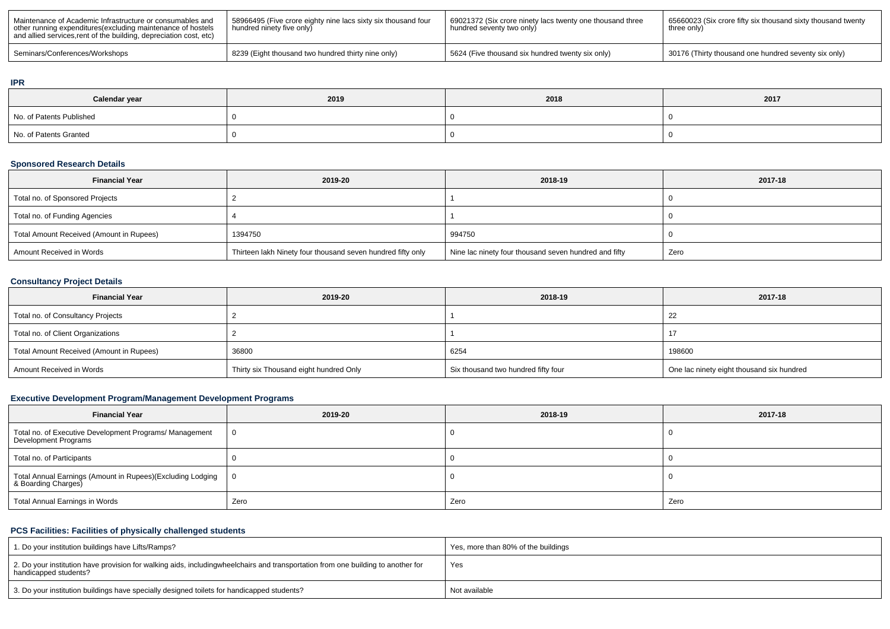| Maintenance of Academic Infrastructure or consumables and<br>other running expenditures (excluding maintenance of hostels<br>and allied services, rent of the building, depreciation cost, etc) | 58966495 (Five crore eighty nine lacs sixty six thousand four<br>hundred ninety five only |                                                  | 65660023 (Six crore fifty six thousand sixty thousand twenty<br>three only) |  |
|-------------------------------------------------------------------------------------------------------------------------------------------------------------------------------------------------|-------------------------------------------------------------------------------------------|--------------------------------------------------|-----------------------------------------------------------------------------|--|
| Seminars/Conferences/Workshops                                                                                                                                                                  | 8239 (Eight thousand two hundred thirty nine only)                                        | 5624 (Five thousand six hundred twenty six only) | 30176 (Thirty thousand one hundred seventy six only)                        |  |

#### **IPR**

| Calendar year            | 2019 | 2018 | 2017 |  |  |
|--------------------------|------|------|------|--|--|
| No. of Patents Published |      |      |      |  |  |
| No. of Patents Granted   |      |      |      |  |  |

# **Sponsored Research Details**

| <b>Financial Year</b>                    | 2019-20                                                     | 2018-19                                               | 2017-18 |
|------------------------------------------|-------------------------------------------------------------|-------------------------------------------------------|---------|
| Total no. of Sponsored Projects          |                                                             |                                                       |         |
| Total no. of Funding Agencies            |                                                             |                                                       |         |
| Total Amount Received (Amount in Rupees) | 1394750                                                     | 994750                                                |         |
| Amount Received in Words                 | Thirteen lakh Ninety four thousand seven hundred fifty only | Nine lac ninety four thousand seven hundred and fifty | Zero    |

## **Consultancy Project Details**

| <b>Financial Year</b>                    | 2019-20                                | 2018-19                             | 2017-18                                   |  |
|------------------------------------------|----------------------------------------|-------------------------------------|-------------------------------------------|--|
| Total no. of Consultancy Projects        |                                        |                                     | 22                                        |  |
| Total no. of Client Organizations        |                                        |                                     |                                           |  |
| Total Amount Received (Amount in Rupees) | 36800                                  | 6254                                | 198600                                    |  |
| Amount Received in Words                 | Thirty six Thousand eight hundred Only | Six thousand two hundred fifty four | One lac ninety eight thousand six hundred |  |

# **Executive Development Program/Management Development Programs**

| <b>Financial Year</b>                                                             | 2019-20 | 2018-19 | 2017-18 |
|-----------------------------------------------------------------------------------|---------|---------|---------|
| Total no. of Executive Development Programs/ Management<br>Development Programs   |         |         |         |
| Total no. of Participants                                                         |         |         |         |
| Total Annual Earnings (Amount in Rupees)(Excluding Lodging<br>& Boarding Charges) |         |         |         |
| <b>Total Annual Earnings in Words</b>                                             | Zero    | Zero    | Zero    |

### **PCS Facilities: Facilities of physically challenged students**

| 1. Do your institution buildings have Lifts/Ramps?                                                                                                        | Yes, more than 80% of the buildings |
|-----------------------------------------------------------------------------------------------------------------------------------------------------------|-------------------------------------|
| 2. Do your institution have provision for walking aids, includingwheelchairs and transportation from one building to another for<br>handicapped students? | Yes                                 |
| 3. Do your institution buildings have specially designed toilets for handicapped students?                                                                | Not available                       |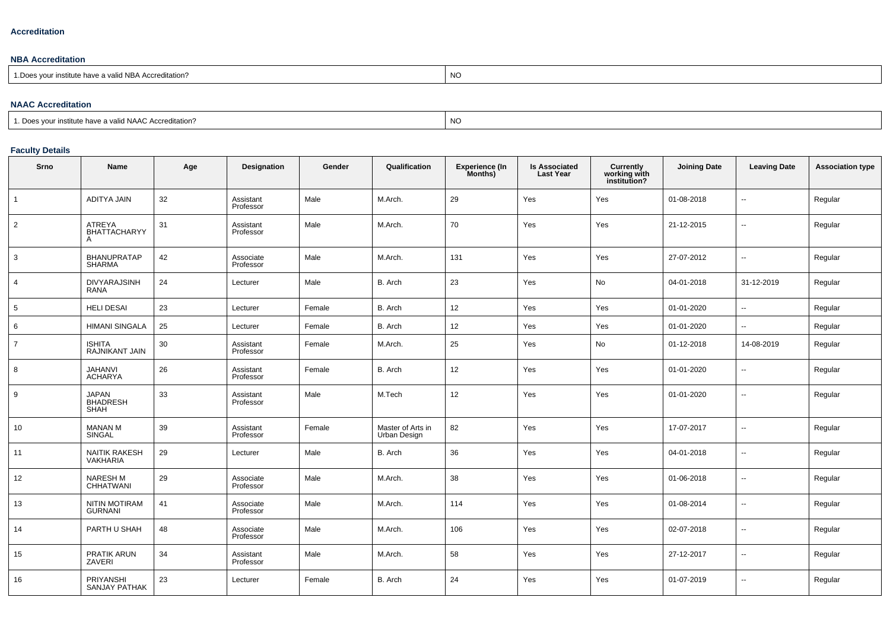#### **Accreditation**

### **NBA Accreditation**

| institute have a valid NBA Accreditation?<br>N/C<br>ົດ.<br>vu.<br>ں 1<br> |  |
|---------------------------------------------------------------------------|--|
|---------------------------------------------------------------------------|--|

#### **NAAC Accreditation**

| $\Gamma$<br>a valid NAAC Accreditation?<br>11011<br>∵ institute …<br>nave a | <b>NC</b> |
|-----------------------------------------------------------------------------|-----------|
|-----------------------------------------------------------------------------|-----------|

## **Faculty Details**

| Srno           | Name                                | Age | Designation            | Gender | Qualification                     | <b>Experience (In</b><br>Months) | <b>Is Associated</b><br><b>Last Year</b> | <b>Currently<br/>working with<br/>institution?</b> | <b>Joining Date</b> | <b>Leaving Date</b>      | <b>Association type</b> |
|----------------|-------------------------------------|-----|------------------------|--------|-----------------------------------|----------------------------------|------------------------------------------|----------------------------------------------------|---------------------|--------------------------|-------------------------|
| $\overline{1}$ | <b>ADITYA JAIN</b>                  | 32  | Assistant<br>Professor | Male   | M.Arch.                           | 29                               | Yes                                      | Yes                                                | 01-08-2018          | $\sim$                   | Regular                 |
| $\overline{2}$ | ATREYA<br><b>BHATTACHARYY</b><br>Α  | 31  | Assistant<br>Professor | Male   | M.Arch.                           | 70                               | Yes                                      | Yes                                                | 21-12-2015          | $\overline{\phantom{a}}$ | Regular                 |
| $\mathbf{3}$   | <b>BHANUPRATAP</b><br><b>SHARMA</b> | 42  | Associate<br>Professor | Male   | M.Arch.                           | 131                              | Yes                                      | Yes                                                | 27-07-2012          | $\overline{\phantom{a}}$ | Regular                 |
| $\overline{4}$ | <b>DIVYARAJSINH</b><br><b>RANA</b>  | 24  | Lecturer               | Male   | B. Arch                           | 23                               | Yes                                      | No                                                 | 04-01-2018          | 31-12-2019               | Regular                 |
| 5              | <b>HELI DESAI</b>                   | 23  | Lecturer               | Female | B. Arch                           | 12                               | Yes                                      | Yes                                                | 01-01-2020          | $\sim$                   | Regular                 |
| 6              | <b>HIMANI SINGALA</b>               | 25  | Lecturer               | Female | B. Arch                           | 12                               | Yes                                      | Yes                                                | 01-01-2020          | $\sim$                   | Regular                 |
| $\overline{7}$ | <b>ISHITA</b><br>RAJNIKANT JAIN     | 30  | Assistant<br>Professor | Female | M.Arch.                           | 25                               | Yes                                      | No                                                 | 01-12-2018          | 14-08-2019               | Regular                 |
| 8              | JAHANVI<br><b>ACHARYA</b>           | 26  | Assistant<br>Professor | Female | B. Arch                           | 12                               | Yes                                      | Yes                                                | 01-01-2020          | $\overline{\phantom{a}}$ | Regular                 |
| 9              | <b>JAPAN</b><br>BHADRESH<br>SHAH    | 33  | Assistant<br>Professor | Male   | M.Tech                            | 12                               | Yes                                      | Yes                                                | 01-01-2020          | $\overline{\phantom{a}}$ | Regular                 |
| 10             | <b>MANAN M</b><br>SINGAL            | 39  | Assistant<br>Professor | Female | Master of Arts in<br>Urban Design | 82                               | Yes                                      | Yes                                                | 17-07-2017          | $\sim$                   | Regular                 |
| 11             | NAITIK RAKESH<br>VAKHARIA           | 29  | Lecturer               | Male   | B. Arch                           | 36                               | Yes                                      | Yes                                                | 04-01-2018          | $\overline{\phantom{a}}$ | Regular                 |
| 12             | NARESH M<br>CHHATWANI               | 29  | Associate<br>Professor | Male   | M.Arch.                           | 38                               | Yes                                      | Yes                                                | 01-06-2018          | $\sim$                   | Regular                 |
| 13             | NITIN MOTIRAM<br>GURNANI            | 41  | Associate<br>Professor | Male   | M.Arch.                           | 114                              | Yes                                      | Yes                                                | 01-08-2014          | $\overline{\phantom{a}}$ | Regular                 |
| 14             | PARTH U SHAH                        | 48  | Associate<br>Professor | Male   | M.Arch.                           | 106                              | Yes                                      | Yes                                                | 02-07-2018          | $\overline{\phantom{a}}$ | Regular                 |
| 15             | PRATIK ARUN<br>ZAVERI               | 34  | Assistant<br>Professor | Male   | M.Arch.                           | 58                               | Yes                                      | Yes                                                | 27-12-2017          | $\sim$                   | Regular                 |
| 16             | PRIYANSHI<br><b>SANJAY PATHAK</b>   | 23  | Lecturer               | Female | B. Arch                           | 24                               | Yes                                      | Yes                                                | 01-07-2019          | $\overline{\phantom{a}}$ | Regular                 |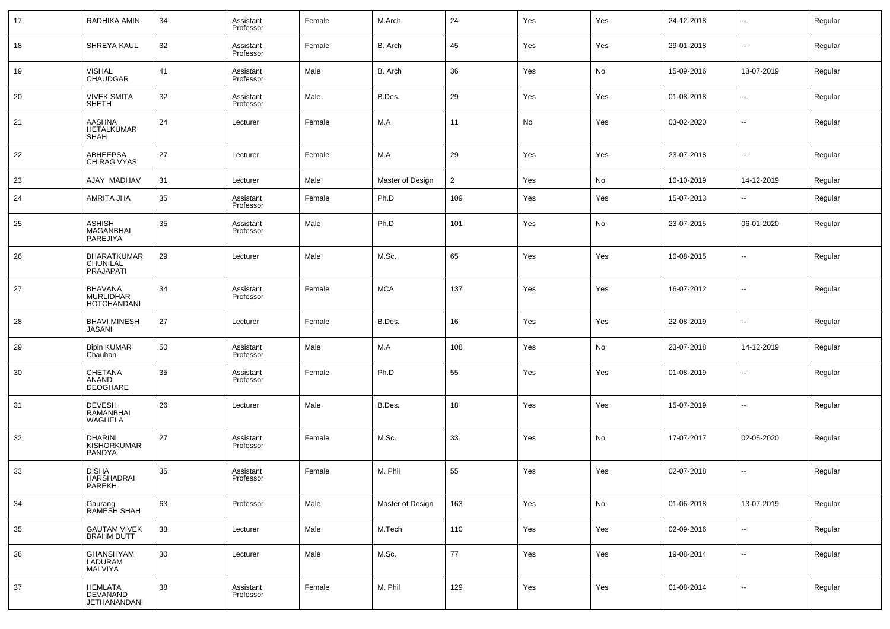| 17 | RADHIKA AMIN                                             | 34 | Assistant<br>Professor | Female | M.Arch.          | 24             | Yes | Yes | 24-12-2018 | $\overline{\phantom{a}}$ | Regular |
|----|----------------------------------------------------------|----|------------------------|--------|------------------|----------------|-----|-----|------------|--------------------------|---------|
| 18 | SHREYA KAUL                                              | 32 | Assistant<br>Professor | Female | B. Arch          | 45             | Yes | Yes | 29-01-2018 | $\overline{\phantom{a}}$ | Regular |
| 19 | <b>VISHAL</b><br><b>CHAUDGAR</b>                         | 41 | Assistant<br>Professor | Male   | B. Arch          | 36             | Yes | No  | 15-09-2016 | 13-07-2019               | Regular |
| 20 | <b>VIVEK SMITA</b><br>SHETH                              | 32 | Assistant<br>Professor | Male   | B.Des.           | 29             | Yes | Yes | 01-08-2018 | $\sim$                   | Regular |
| 21 | <b>AASHNA</b><br>HETALKUMAR<br>SHAH                      | 24 | Lecturer               | Female | M.A              | 11             | No  | Yes | 03-02-2020 | $\sim$                   | Regular |
| 22 | ABHEEPSA<br><b>CHIRAG VYAS</b>                           | 27 | Lecturer               | Female | M.A              | 29             | Yes | Yes | 23-07-2018 | $\overline{\phantom{a}}$ | Regular |
| 23 | AJAY MADHAV                                              | 31 | Lecturer               | Male   | Master of Design | $\overline{2}$ | Yes | No  | 10-10-2019 | 14-12-2019               | Regular |
| 24 | AMRITA JHA                                               | 35 | Assistant<br>Professor | Female | Ph.D             | 109            | Yes | Yes | 15-07-2013 | --                       | Regular |
| 25 | ASHISH<br><b>MAGANBHAI</b><br>PAREJIYA                   | 35 | Assistant<br>Professor | Male   | Ph.D             | 101            | Yes | No  | 23-07-2015 | 06-01-2020               | Regular |
| 26 | <b>BHARATKUMAR</b><br>CHUNILAL<br>PRAJAPATI              | 29 | Lecturer               | Male   | M.Sc.            | 65             | Yes | Yes | 10-08-2015 | $\overline{\phantom{a}}$ | Regular |
| 27 | <b>BHAVANA</b><br><b>MURLIDHAR</b><br><b>HOTCHANDANI</b> | 34 | Assistant<br>Professor | Female | <b>MCA</b>       | 137            | Yes | Yes | 16-07-2012 | --                       | Regular |
| 28 | <b>BHAVI MINESH</b><br>JASANI                            | 27 | Lecturer               | Female | B.Des.           | 16             | Yes | Yes | 22-08-2019 | $\sim$                   | Regular |
| 29 | <b>Bipin KUMAR</b><br>Chauhan                            | 50 | Assistant<br>Professor | Male   | M.A              | 108            | Yes | No  | 23-07-2018 | 14-12-2019               | Regular |
| 30 | <b>CHETANA</b><br>ANAND<br><b>DEOGHARE</b>               | 35 | Assistant<br>Professor | Female | Ph.D             | 55             | Yes | Yes | 01-08-2019 | --                       | Regular |
| 31 | DEVESH<br>RAMANBHAI<br>WAGHELA                           | 26 | Lecturer               | Male   | B.Des.           | 18             | Yes | Yes | 15-07-2019 | $\sim$                   | Regular |
| 32 | <b>DHARINI</b><br><b>KISHORKUMAR</b><br>PANDYA           | 27 | Assistant<br>Professor | Female | M.Sc.            | 33             | Yes | No  | 17-07-2017 | 02-05-2020               | Regular |
| 33 | <b>DISHA</b><br>HARSHADRAI<br>PAREKH                     | 35 | Assistant<br>Professor | Female | M. Phil          | 55             | Yes | Yes | 02-07-2018 | $\sim$                   | Regular |
| 34 | Gaurang<br>RAMESH SHAH                                   | 63 | Professor              | Male   | Master of Design | 163            | Yes | No  | 01-06-2018 | 13-07-2019               | Regular |
| 35 | GAUTAM VIVEK<br>BRAHM DUTT                               | 38 | Lecturer               | Male   | M.Tech           | 110            | Yes | Yes | 02-09-2016 | ۰.                       | Regular |
| 36 | GHANSHYAM<br>LADURAM<br>MALVIYA                          | 30 | Lecturer               | Male   | M.Sc.            | 77             | Yes | Yes | 19-08-2014 | ۰.                       | Regular |
| 37 | HEMLATA<br>DEVANAND<br>JETHANANDANI                      | 38 | Assistant<br>Professor | Female | M. Phil          | 129            | Yes | Yes | 01-08-2014 | $\overline{\phantom{a}}$ | Regular |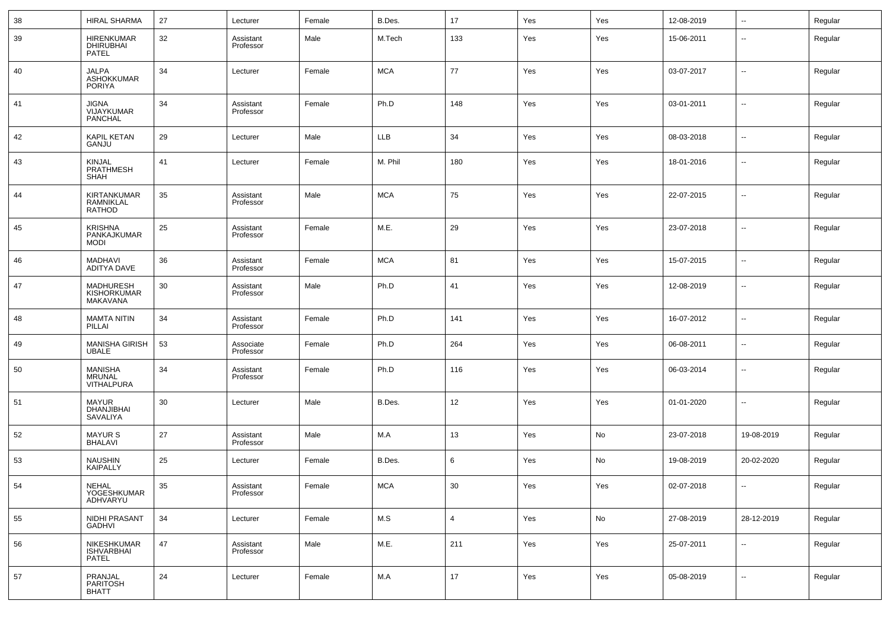| 38 | <b>HIRAL SHARMA</b>                                  | 27     | Lecturer               | Female | B.Des.     | 17             | Yes | Yes | 12-08-2019 | $\overline{\phantom{a}}$ | Regular |
|----|------------------------------------------------------|--------|------------------------|--------|------------|----------------|-----|-----|------------|--------------------------|---------|
| 39 | <b>HIRENKUMAR</b><br>DHIRUBHAI<br>PATEL              | 32     | Assistant<br>Professor | Male   | M.Tech     | 133            | Yes | Yes | 15-06-2011 | $\overline{\phantom{a}}$ | Regular |
| 40 | <b>JALPA</b><br><b>ASHOKKUMAR</b><br><b>PORIYA</b>   | 34     | Lecturer               | Female | <b>MCA</b> | 77             | Yes | Yes | 03-07-2017 | ш.                       | Regular |
| 41 | <b>JIGNA</b><br>VIJAYKUMAR<br>PANCHAL                | 34     | Assistant<br>Professor | Female | Ph.D       | 148            | Yes | Yes | 03-01-2011 | ш.                       | Regular |
| 42 | <b>KAPIL KETAN</b><br>GANJU                          | 29     | Lecturer               | Male   | <b>LLB</b> | 34             | Yes | Yes | 08-03-2018 | $\overline{\phantom{a}}$ | Regular |
| 43 | <b>KINJAL</b><br>PRATHMESH<br><b>SHAH</b>            | 41     | Lecturer               | Female | M. Phil    | 180            | Yes | Yes | 18-01-2016 | ш.                       | Regular |
| 44 | KIRTANKUMAR<br>RAMNIKLAL<br>RATHOD                   | 35     | Assistant<br>Professor | Male   | <b>MCA</b> | 75             | Yes | Yes | 22-07-2015 | --                       | Regular |
| 45 | <b>KRISHNA</b><br>PANKAJKUMAR<br><b>MODI</b>         | 25     | Assistant<br>Professor | Female | M.E.       | 29             | Yes | Yes | 23-07-2018 | --                       | Regular |
| 46 | MADHAVI<br>ADITYA DAVE                               | 36     | Assistant<br>Professor | Female | <b>MCA</b> | 81             | Yes | Yes | 15-07-2015 | $\overline{\phantom{a}}$ | Regular |
| 47 | <b>MADHURESH</b><br>KISHORKUMAR<br>MAKAVANA          | 30     | Assistant<br>Professor | Male   | Ph.D       | 41             | Yes | Yes | 12-08-2019 | $\overline{\phantom{a}}$ | Regular |
| 48 | <b>MAMTA NITIN</b><br>PILLAI                         | 34     | Assistant<br>Professor | Female | Ph.D       | 141            | Yes | Yes | 16-07-2012 | ш.                       | Regular |
| 49 | <b>MANISHA GIRISH</b><br><b>UBALE</b>                | 53     | Associate<br>Professor | Female | Ph.D       | 264            | Yes | Yes | 06-08-2011 | --                       | Regular |
| 50 | <b>MANISHA</b><br><b>MRUNAL</b><br><b>VITHALPURA</b> | 34     | Assistant<br>Professor | Female | Ph.D       | 116            | Yes | Yes | 06-03-2014 | --                       | Regular |
| 51 | <b>MAYUR</b><br>DHANJIBHAI<br>SAVALIYA               | 30     | Lecturer               | Male   | B.Des.     | 12             | Yes | Yes | 01-01-2020 | --                       | Regular |
| 52 | <b>MAYUR S</b><br><b>BHALAVI</b>                     | 27     | Assistant<br>Professor | Male   | M.A        | 13             | Yes | No  | 23-07-2018 | 19-08-2019               | Regular |
| 53 | <b>NAUSHIN</b><br><b>KAIPALLY</b>                    | 25     | Lecturer               | Female | B.Des.     | 6              | Yes | No  | 19-08-2019 | 20-02-2020               | Regular |
| 54 | <b>NEHAL</b><br>YOGESHKUMAR<br>ADHVARYU              | $35\,$ | Assistant<br>Professor | Female | <b>MCA</b> | 30             | Yes | Yes | 02-07-2018 |                          | Regular |
| 55 | NIDHI PRASANT<br>GADHVI                              | 34     | Lecturer               | Female | M.S        | $\overline{4}$ | Yes | No  | 27-08-2019 | 28-12-2019               | Regular |
| 56 | NIKESHKUMAR<br><b>ISHVARBHAI</b><br>PATEL            | 47     | Assistant<br>Professor | Male   | M.E.       | 211            | Yes | Yes | 25-07-2011 | $\sim$                   | Regular |
| 57 | PRANJAL<br>PARITOSH<br><b>BHATT</b>                  | 24     | Lecturer               | Female | M.A        | 17             | Yes | Yes | 05-08-2019 | $\sim$                   | Regular |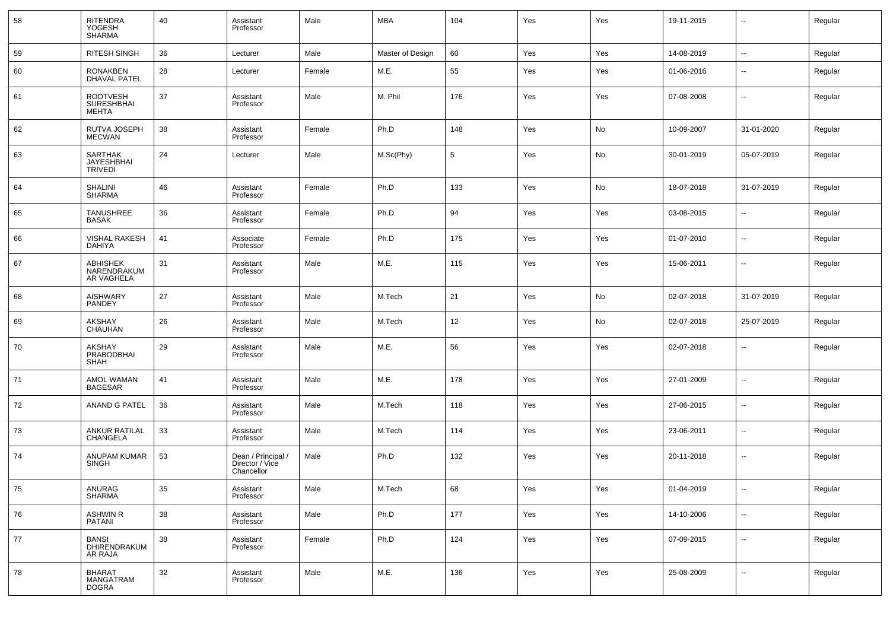| 58 | RITENDRA<br>YOGESH<br>SHARMA                         | 40     | Assistant<br>Professor                              | Male   | <b>MBA</b>       | 104             | Yes | Yes | 19-11-2015 | --             | Regular |
|----|------------------------------------------------------|--------|-----------------------------------------------------|--------|------------------|-----------------|-----|-----|------------|----------------|---------|
| 59 | <b>RITESH SINGH</b>                                  | 36     | Lecturer                                            | Male   | Master of Design | 60              | Yes | Yes | 14-08-2019 | ш.             | Regular |
| 60 | <b>RONAKBEN</b><br><b>DHAVAL PATEL</b>               | 28     | Lecturer                                            | Female | M.E.             | 55              | Yes | Yes | 01-06-2016 | --             | Regular |
| 61 | <b>ROOTVESH</b><br><b>SURESHBHAI</b><br><b>MEHTA</b> | 37     | Assistant<br>Professor                              | Male   | M. Phil          | 176             | Yes | Yes | 07-08-2008 | --             | Regular |
| 62 | RUTVA JOSEPH<br><b>MECWAN</b>                        | 38     | Assistant<br>Professor                              | Female | Ph.D             | 148             | Yes | No  | 10-09-2007 | 31-01-2020     | Regular |
| 63 | <b>SARTHAK</b><br>JAYESHBHAI<br><b>TRIVEDI</b>       | 24     | Lecturer                                            | Male   | M.Sc(Phy)        | $5\phantom{.0}$ | Yes | No  | 30-01-2019 | 05-07-2019     | Regular |
| 64 | SHALINI<br><b>SHARMA</b>                             | 46     | Assistant<br>Professor                              | Female | Ph.D             | 133             | Yes | No  | 18-07-2018 | 31-07-2019     | Regular |
| 65 | TANUSHREE<br><b>BASAK</b>                            | 36     | Assistant<br>Professor                              | Female | Ph.D             | 94              | Yes | Yes | 03-08-2015 | --             | Regular |
| 66 | <b>VISHAL RAKESH</b><br><b>DAHIYA</b>                | 41     | Associate<br>Professor                              | Female | Ph.D             | 175             | Yes | Yes | 01-07-2010 | --             | Regular |
| 67 | <b>ABHISHEK</b><br>NARENDRAKUM<br>AR VAGHELA         | 31     | Assistant<br>Professor                              | Male   | M.E.             | 115             | Yes | Yes | 15-06-2011 |                | Regular |
| 68 | <b>AISHWARY</b><br>PANDEY                            | 27     | Assistant<br>Professor                              | Male   | M.Tech           | 21              | Yes | No  | 02-07-2018 | 31-07-2019     | Regular |
| 69 | <b>AKSHAY</b><br><b>CHAUHAN</b>                      | 26     | Assistant<br>Professor                              | Male   | M.Tech           | 12              | Yes | No  | 02-07-2018 | 25-07-2019     | Regular |
| 70 | <b>AKSHAY</b><br>PRABODBHAI<br><b>SHAH</b>           | 29     | Assistant<br>Professor                              | Male   | M.E.             | 56              | Yes | Yes | 02-07-2018 | --             | Regular |
| 71 | AMOL WAMAN<br><b>BAGESAR</b>                         | 41     | Assistant<br>Professor                              | Male   | M.E.             | 178             | Yes | Yes | 27-01-2009 | --             | Regular |
| 72 | <b>ANAND G PATEL</b>                                 | 36     | Assistant<br>Professor                              | Male   | M.Tech           | 118             | Yes | Yes | 27-06-2015 | $\overline{a}$ | Regular |
| 73 | <b>ANKUR RATILAL</b><br>CHANGELA                     | 33     | Assistant<br>Professor                              | Male   | M.Tech           | 114             | Yes | Yes | 23-06-2011 | --             | Regular |
| 74 | ANUPAM KUMAR<br><b>SINGH</b>                         | 53     | Dean / Principal /<br>Director / Vice<br>Chancellor | Male   | Ph.D             | 132             | Yes | Yes | 20-11-2018 | --             | Regular |
| 75 | ANURAG<br><b>SHARMA</b>                              | 35     | Assistant<br>Professor                              | Male   | M.Tech           | 68              | Yes | Yes | 01-04-2019 | $\sim$         | Regular |
| 76 | <b>ASHWIN R</b><br>PATANI                            | 38     | Assistant<br>Professor                              | Male   | Ph.D             | 177             | Yes | Yes | 14-10-2006 | $\sim$         | Regular |
| 77 | BANSI<br>DHIRENDRAKUM<br>AR RAJA                     | 38     | Assistant<br>Professor                              | Female | Ph.D             | 124             | Yes | Yes | 07-09-2015 | $\sim$         | Regular |
| 78 | <b>BHARAT</b><br><b>MANGATRAM</b><br><b>DOGRA</b>    | $32\,$ | Assistant<br>Professor                              | Male   | M.E.             | 136             | Yes | Yes | 25-08-2009 | $\sim$         | Regular |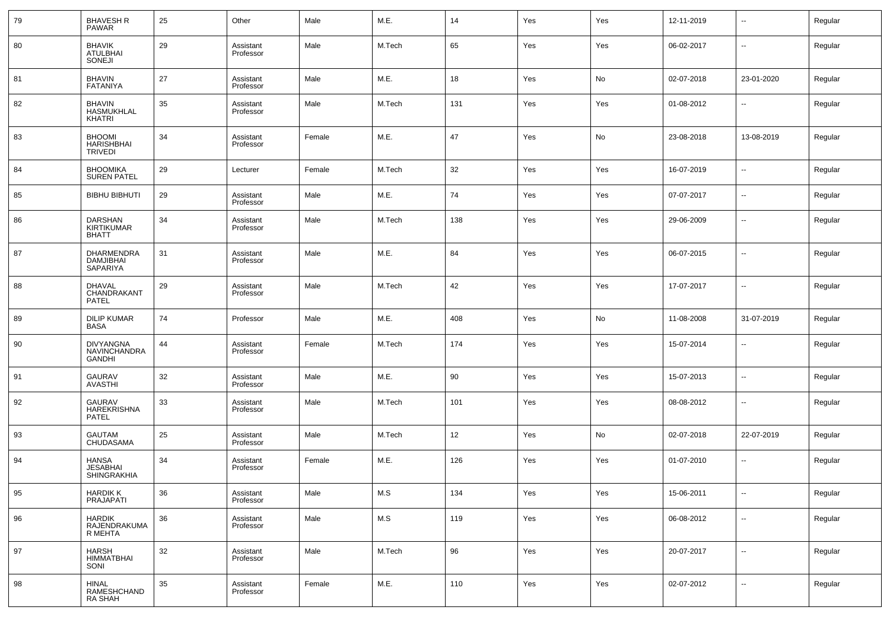| 79 | <b>BHAVESH R</b><br><b>PAWAR</b>                     | 25 | Other                  | Male   | M.E.   | 14  | Yes | Yes | 12-11-2019 | $\overline{\phantom{a}}$ | Regular |
|----|------------------------------------------------------|----|------------------------|--------|--------|-----|-----|-----|------------|--------------------------|---------|
| 80 | <b>BHAVIK</b><br><b>ATULBHAI</b><br>SONEJI           | 29 | Assistant<br>Professor | Male   | M.Tech | 65  | Yes | Yes | 06-02-2017 | $\sim$                   | Regular |
| 81 | <b>BHAVIN</b><br><b>FATANIYA</b>                     | 27 | Assistant<br>Professor | Male   | M.E.   | 18  | Yes | No  | 02-07-2018 | 23-01-2020               | Regular |
| 82 | <b>BHAVIN</b><br><b>HASMUKHLAL</b><br><b>KHATRI</b>  | 35 | Assistant<br>Professor | Male   | M.Tech | 131 | Yes | Yes | 01-08-2012 | н.                       | Regular |
| 83 | <b>BHOOMI</b><br><b>HARISHBHAI</b><br><b>TRIVEDI</b> | 34 | Assistant<br>Professor | Female | M.E.   | 47  | Yes | No  | 23-08-2018 | 13-08-2019               | Regular |
| 84 | <b>BHOOMIKA</b><br><b>SUREN PATEL</b>                | 29 | Lecturer               | Female | M.Tech | 32  | Yes | Yes | 16-07-2019 | --                       | Regular |
| 85 | <b>BIBHU BIBHUTI</b>                                 | 29 | Assistant<br>Professor | Male   | M.E.   | 74  | Yes | Yes | 07-07-2017 | $\sim$                   | Regular |
| 86 | DARSHAN<br><b>KIRTIKUMAR</b><br><b>BHATT</b>         | 34 | Assistant<br>Professor | Male   | M.Tech | 138 | Yes | Yes | 29-06-2009 | --                       | Regular |
| 87 | <b>DHARMENDRA</b><br><b>DAMJIBHAI</b><br>SAPARIYA    | 31 | Assistant<br>Professor | Male   | M.E.   | 84  | Yes | Yes | 06-07-2015 | --                       | Regular |
| 88 | <b>DHAVAL</b><br>CHANDRAKANT<br>PATEL                | 29 | Assistant<br>Professor | Male   | M.Tech | 42  | Yes | Yes | 17-07-2017 | --                       | Regular |
| 89 | <b>DILIP KUMAR</b><br><b>BASA</b>                    | 74 | Professor              | Male   | M.E.   | 408 | Yes | No  | 11-08-2008 | 31-07-2019               | Regular |
| 90 | <b>DIVYANGNA</b><br>NAVINCHANDRA<br><b>GANDHI</b>    | 44 | Assistant<br>Professor | Female | M.Tech | 174 | Yes | Yes | 15-07-2014 | $\sim$                   | Regular |
| 91 | <b>GAURAV</b><br><b>AVASTHI</b>                      | 32 | Assistant<br>Professor | Male   | M.E.   | 90  | Yes | Yes | 15-07-2013 | --                       | Regular |
| 92 | <b>GAURAV</b><br><b>HAREKRISHNA</b><br>PATEL         | 33 | Assistant<br>Professor | Male   | M.Tech | 101 | Yes | Yes | 08-08-2012 | $\overline{a}$           | Regular |
| 93 | <b>GAUTAM</b><br>CHUDASAMA                           | 25 | Assistant<br>Professor | Male   | M.Tech | 12  | Yes | No  | 02-07-2018 | 22-07-2019               | Regular |
| 94 | <b>HANSA</b><br><b>JESABHAI</b><br>SHINGRAKHIA       | 34 | Assistant<br>Professor | Female | M.E.   | 126 | Yes | Yes | 01-07-2010 | --                       | Regular |
| 95 | HARDIK K<br>PRAJAPATI                                | 36 | Assistant<br>Professor | Male   | M.S    | 134 | Yes | Yes | 15-06-2011 | $\sim$                   | Regular |
| 96 | <b>HARDIK</b><br>RAJENDRAKUMA<br>R MEHTA             | 36 | Assistant<br>Professor | Male   | M.S    | 119 | Yes | Yes | 06-08-2012 | $\sim$                   | Regular |
| 97 | HARSH<br>HIMMATBHAI<br>SONI                          | 32 | Assistant<br>Professor | Male   | M.Tech | 96  | Yes | Yes | 20-07-2017 | $\overline{\phantom{a}}$ | Regular |
| 98 | HINAL<br>RAMESHCHAND<br>RA SHAH                      | 35 | Assistant<br>Professor | Female | M.E.   | 110 | Yes | Yes | 02-07-2012 | $\sim$                   | Regular |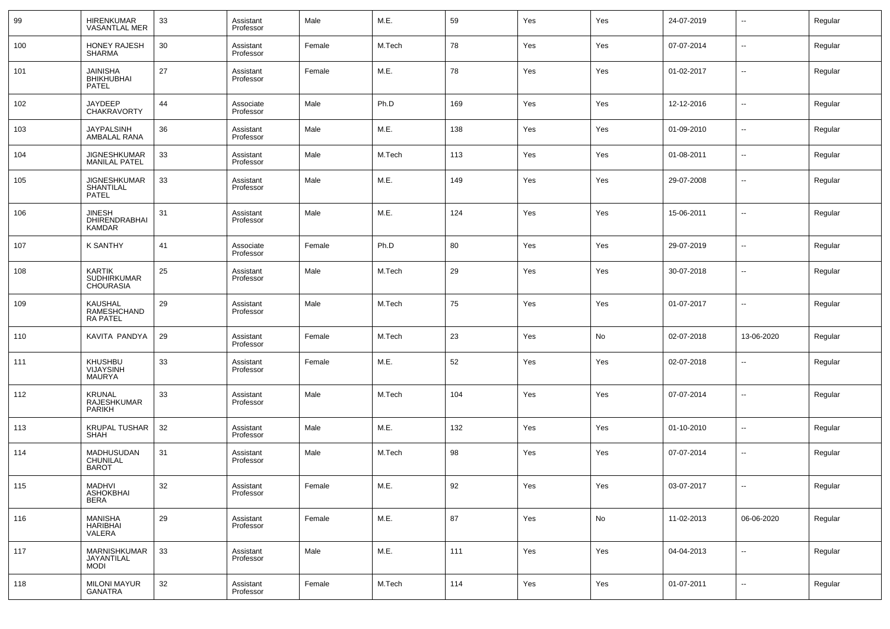| 99  | HIRENKUMAR<br>VASANTLAL MER                             | 33 | Assistant<br>Professor | Male   | M.E.   | 59  | Yes | Yes | 24-07-2019 | $\sim$                   | Regular |
|-----|---------------------------------------------------------|----|------------------------|--------|--------|-----|-----|-----|------------|--------------------------|---------|
| 100 | <b>HONEY RAJESH</b><br><b>SHARMA</b>                    | 30 | Assistant<br>Professor | Female | M.Tech | 78  | Yes | Yes | 07-07-2014 | $\sim$                   | Regular |
| 101 | JAINISHA<br><b>BHIKHUBHAI</b><br>PATEL                  | 27 | Assistant<br>Professor | Female | M.E.   | 78  | Yes | Yes | 01-02-2017 | $\sim$                   | Regular |
| 102 | <b>JAYDEEP</b><br>CHAKRAVORTY                           | 44 | Associate<br>Professor | Male   | Ph.D   | 169 | Yes | Yes | 12-12-2016 | $\overline{\phantom{a}}$ | Regular |
| 103 | JAYPALSINH<br>AMBALAL RANA                              | 36 | Assistant<br>Professor | Male   | M.E.   | 138 | Yes | Yes | 01-09-2010 | $\overline{\phantom{a}}$ | Regular |
| 104 | JIGNESHKUMAR<br><b>MANILAL PATEL</b>                    | 33 | Assistant<br>Professor | Male   | M.Tech | 113 | Yes | Yes | 01-08-2011 | --                       | Regular |
| 105 | JIGNESHKUMAR<br>SHANTILAL<br><b>PATEL</b>               | 33 | Assistant<br>Professor | Male   | M.E.   | 149 | Yes | Yes | 29-07-2008 | --                       | Regular |
| 106 | JINESH<br>DHIRENDRABHAI<br>KAMDAR                       | 31 | Assistant<br>Professor | Male   | M.E.   | 124 | Yes | Yes | 15-06-2011 |                          | Regular |
| 107 | <b>K SANTHY</b>                                         | 41 | Associate<br>Professor | Female | Ph.D   | 80  | Yes | Yes | 29-07-2019 | --                       | Regular |
| 108 | <b>KARTIK</b><br><b>SUDHIRKUMAR</b><br><b>CHOURASIA</b> | 25 | Assistant<br>Professor | Male   | M.Tech | 29  | Yes | Yes | 30-07-2018 | --                       | Regular |
| 109 | <b>KAUSHAL</b><br>RAMESHCHAND<br><b>RA PATEL</b>        | 29 | Assistant<br>Professor | Male   | M.Tech | 75  | Yes | Yes | 01-07-2017 | --                       | Regular |
| 110 | KAVITA PANDYA                                           | 29 | Assistant<br>Professor | Female | M.Tech | 23  | Yes | No  | 02-07-2018 | 13-06-2020               | Regular |
| 111 | <b>KHUSHBU</b><br><b>VIJAYSINH</b><br>MAURYA            | 33 | Assistant<br>Professor | Female | M.E.   | 52  | Yes | Yes | 02-07-2018 | Ξ.                       | Regular |
| 112 | <b>KRUNAL</b><br>RAJESHKUMAR<br><b>PARIKH</b>           | 33 | Assistant<br>Professor | Male   | M.Tech | 104 | Yes | Yes | 07-07-2014 | --                       | Regular |
| 113 | <b>KRUPAL TUSHAR</b><br><b>SHAH</b>                     | 32 | Assistant<br>Professor | Male   | M.E.   | 132 | Yes | Yes | 01-10-2010 | $\overline{a}$           | Regular |
| 114 | MADHUSUDAN<br>CHUNILAL<br><b>BAROT</b>                  | 31 | Assistant<br>Professor | Male   | M.Tech | 98  | Yes | Yes | 07-07-2014 | $\overline{a}$           | Regular |
| 115 | MADHVI<br>ASHOKBHAI<br><b>BERA</b>                      | 32 | Assistant<br>Professor | Female | M.E.   | 92  | Yes | Yes | 03-07-2017 |                          | Regular |
| 116 | <b>MANISHA</b><br>HARIBHAI<br>VALERA                    | 29 | Assistant<br>Professor | Female | M.E.   | 87  | Yes | No  | 11-02-2013 | 06-06-2020               | Regular |
| 117 | MARNISHKUMAR<br>JAYANTILAL<br>MODI                      | 33 | Assistant<br>Professor | Male   | M.E.   | 111 | Yes | Yes | 04-04-2013 | $\sim$                   | Regular |
| 118 | <b>MILONI MAYUR</b><br>GANATRA                          | 32 | Assistant<br>Professor | Female | M.Tech | 114 | Yes | Yes | 01-07-2011 | $\sim$                   | Regular |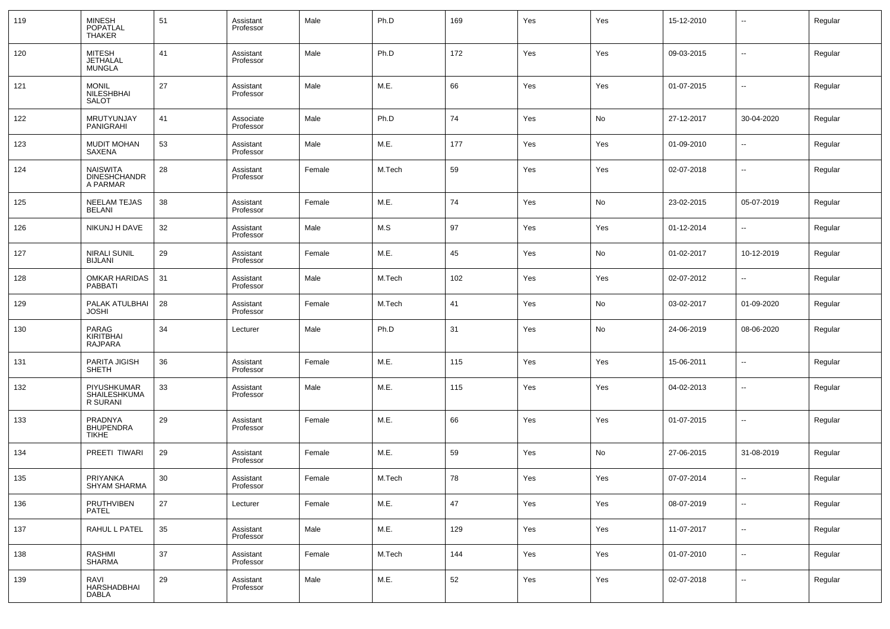| 119 | MINESH<br>POPATLAL<br>THAKER                       | 51     | Assistant<br>Professor | Male   | Ph.D   | 169 | Yes | Yes | 15-12-2010 | $\overline{\phantom{a}}$     | Regular |
|-----|----------------------------------------------------|--------|------------------------|--------|--------|-----|-----|-----|------------|------------------------------|---------|
| 120 | <b>MITESH</b><br><b>JETHALAL</b><br>MUNGLA         | 41     | Assistant<br>Professor | Male   | Ph.D   | 172 | Yes | Yes | 09-03-2015 | $\overline{\phantom{a}}$     | Regular |
| 121 | <b>MONIL</b><br>NILESHBHAI<br><b>SALOT</b>         | 27     | Assistant<br>Professor | Male   | M.E.   | 66  | Yes | Yes | 01-07-2015 | $\overline{\phantom{a}}$     | Regular |
| 122 | MRUTYUNJAY<br>PANIGRAHI                            | 41     | Associate<br>Professor | Male   | Ph.D   | 74  | Yes | No  | 27-12-2017 | 30-04-2020                   | Regular |
| 123 | <b>MUDIT MOHAN</b><br>SAXENA                       | 53     | Assistant<br>Professor | Male   | M.E.   | 177 | Yes | Yes | 01-09-2010 | $\overline{\phantom{a}}$     | Regular |
| 124 | <b>NAISWITA</b><br><b>DINESHCHANDR</b><br>A PARMAR | 28     | Assistant<br>Professor | Female | M.Tech | 59  | Yes | Yes | 02-07-2018 | $\overline{\phantom{a}}$     | Regular |
| 125 | <b>NEELAM TEJAS</b><br><b>BELANI</b>               | 38     | Assistant<br>Professor | Female | M.E.   | 74  | Yes | No  | 23-02-2015 | 05-07-2019                   | Regular |
| 126 | NIKUNJ H DAVE                                      | 32     | Assistant<br>Professor | Male   | M.S    | 97  | Yes | Yes | 01-12-2014 | $\overline{\phantom{a}}$     | Regular |
| 127 | <b>NIRALI SUNIL</b><br><b>BIJLANI</b>              | 29     | Assistant<br>Professor | Female | M.E.   | 45  | Yes | No  | 01-02-2017 | 10-12-2019                   | Regular |
| 128 | <b>OMKAR HARIDAS</b><br>PABBATI                    | 31     | Assistant<br>Professor | Male   | M.Tech | 102 | Yes | Yes | 02-07-2012 | $\overline{\phantom{a}}$     | Regular |
| 129 | PALAK ATULBHAI<br><b>JOSHI</b>                     | 28     | Assistant<br>Professor | Female | M.Tech | 41  | Yes | No  | 03-02-2017 | 01-09-2020                   | Regular |
| 130 | PARAG<br><b>KIRITBHAI</b><br><b>RAJPARA</b>        | 34     | Lecturer               | Male   | Ph.D   | 31  | Yes | No  | 24-06-2019 | 08-06-2020                   | Regular |
| 131 | PARITA JIGISH<br>SHETH                             | 36     | Assistant<br>Professor | Female | M.E.   | 115 | Yes | Yes | 15-06-2011 | $\overline{\phantom{a}}$     | Regular |
| 132 | PIYUSHKUMAR<br>SHAILESHKUMA<br>R SURANI            | 33     | Assistant<br>Professor | Male   | M.E.   | 115 | Yes | Yes | 04-02-2013 | $\overline{\phantom{a}}$     | Regular |
| 133 | PRADNYA<br><b>BHUPENDRA</b><br><b>TIKHE</b>        | 29     | Assistant<br>Professor | Female | M.E.   | 66  | Yes | Yes | 01-07-2015 | $\overline{\phantom{a}}$     | Regular |
| 134 | PREETI TIWARI                                      | 29     | Assistant<br>Professor | Female | M.E.   | 59  | Yes | No  | 27-06-2015 | 31-08-2019                   | Regular |
| 135 | PRIYANKA<br>SHYAM SHARMA                           | 30     | Assistant<br>Professor | Female | M.Tech | 78  | Yes | Yes | 07-07-2014 | $\overline{\phantom{a}}$     | Regular |
| 136 | PRUTHVIBEN<br>PATEL                                | $27\,$ | Lecturer               | Female | M.E.   | 47  | Yes | Yes | 08-07-2019 | $\overline{\phantom{a}}$     | Regular |
| 137 | RAHUL L PATEL                                      | 35     | Assistant<br>Professor | Male   | M.E.   | 129 | Yes | Yes | 11-07-2017 | $\overline{\phantom{a}}$     | Regular |
| 138 | RASHMI<br>SHARMA                                   | 37     | Assistant<br>Professor | Female | M.Tech | 144 | Yes | Yes | 01-07-2010 | $\overline{\phantom{a}}$     | Regular |
| 139 | RAVI<br>HARSHADBHAI<br>DABLA                       | 29     | Assistant<br>Professor | Male   | M.E.   | 52  | Yes | Yes | 02-07-2018 | $\qquad \qquad \blacksquare$ | Regular |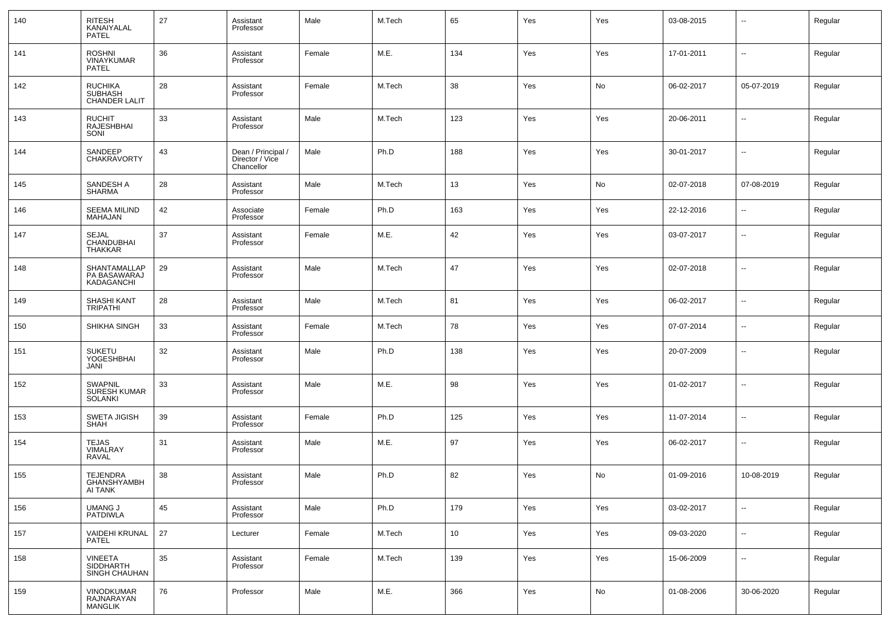| 140 | RITESH<br>KANAIYALAL<br><b>PATEL</b>                     | 27 | Assistant<br>Professor                              | Male   | M.Tech | 65              | Yes | Yes | 03-08-2015 | ۰.                       | Regular |
|-----|----------------------------------------------------------|----|-----------------------------------------------------|--------|--------|-----------------|-----|-----|------------|--------------------------|---------|
| 141 | <b>ROSHNI</b><br><b>VINAYKUMAR</b><br>PATEL              | 36 | Assistant<br>Professor                              | Female | M.E.   | 134             | Yes | Yes | 17-01-2011 | ш.                       | Regular |
| 142 | <b>RUCHIKA</b><br><b>SUBHASH</b><br><b>CHANDER LALIT</b> | 28 | Assistant<br>Professor                              | Female | M.Tech | 38              | Yes | No  | 06-02-2017 | 05-07-2019               | Regular |
| 143 | <b>RUCHIT</b><br>RAJESHBHAI<br>SONI                      | 33 | Assistant<br>Professor                              | Male   | M.Tech | 123             | Yes | Yes | 20-06-2011 | --                       | Regular |
| 144 | SANDEEP<br>CHAKRAVORTY                                   | 43 | Dean / Principal /<br>Director / Vice<br>Chancellor | Male   | Ph.D   | 188             | Yes | Yes | 30-01-2017 | $\overline{\phantom{a}}$ | Regular |
| 145 | SANDESH A<br><b>SHARMA</b>                               | 28 | Assistant<br>Professor                              | Male   | M.Tech | 13              | Yes | No  | 02-07-2018 | 07-08-2019               | Regular |
| 146 | <b>SEEMA MILIND</b><br>MAHAJAN                           | 42 | Associate<br>Professor                              | Female | Ph.D   | 163             | Yes | Yes | 22-12-2016 | $\overline{\phantom{a}}$ | Regular |
| 147 | SEJAL<br>CHANDUBHAI<br>THAKKAR                           | 37 | Assistant<br>Professor                              | Female | M.E.   | 42              | Yes | Yes | 03-07-2017 | $\overline{\phantom{a}}$ | Regular |
| 148 | SHANTAMALLAP<br>PA BASAWARAJ<br>KADAGANCHI               | 29 | Assistant<br>Professor                              | Male   | M.Tech | 47              | Yes | Yes | 02-07-2018 | ۰.                       | Regular |
| 149 | SHASHI KANT<br><b>TRIPATHI</b>                           | 28 | Assistant<br>Professor                              | Male   | M.Tech | 81              | Yes | Yes | 06-02-2017 | $\overline{\phantom{a}}$ | Regular |
| 150 | SHIKHA SINGH                                             | 33 | Assistant<br>Professor                              | Female | M.Tech | 78              | Yes | Yes | 07-07-2014 | $\overline{\phantom{a}}$ | Regular |
| 151 | <b>SUKETU</b><br><b>YOGESHBHAI</b><br>JANI               | 32 | Assistant<br>Professor                              | Male   | Ph.D   | 138             | Yes | Yes | 20-07-2009 | $\overline{\phantom{a}}$ | Regular |
| 152 | <b>SWAPNIL</b><br><b>SURESH KUMAR</b><br>SOLANKI         | 33 | Assistant<br>Professor                              | Male   | M.E.   | 98              | Yes | Yes | 01-02-2017 | $\overline{\phantom{a}}$ | Regular |
| 153 | <b>SWETA JIGISH</b><br>SHAH                              | 39 | Assistant<br>Professor                              | Female | Ph.D   | 125             | Yes | Yes | 11-07-2014 | --                       | Regular |
| 154 | TEJAS<br>VIMALRAY<br><b>RAVAL</b>                        | 31 | Assistant<br>Professor                              | Male   | M.E.   | 97              | Yes | Yes | 06-02-2017 | --                       | Regular |
| 155 | <b>TEJENDRA</b><br>GHANSHYAMBH<br>AI TANK                | 38 | Assistant<br>Professor                              | Male   | Ph.D   | 82              | Yes | No  | 01-09-2016 | 10-08-2019               | Regular |
| 156 | <b>UMANG J</b><br>PATDIWLA                               | 45 | Assistant<br>Professor                              | Male   | Ph.D   | 179             | Yes | Yes | 03-02-2017 | $\overline{\phantom{a}}$ | Regular |
| 157 | <b>VAIDEHI KRUNAL</b><br>PATEL                           | 27 | Lecturer                                            | Female | M.Tech | 10 <sup>°</sup> | Yes | Yes | 09-03-2020 | Щ,                       | Regular |
| 158 | VINEETA<br>SIDDHARTH<br>SINGH CHAUHAN                    | 35 | Assistant<br>Professor                              | Female | M.Tech | 139             | Yes | Yes | 15-06-2009 | $\overline{\phantom{a}}$ | Regular |
| 159 | VINODKUMAR<br>RAJNARAYAN<br><b>MANGLIK</b>               | 76 | Professor                                           | Male   | M.E.   | 366             | Yes | No  | 01-08-2006 | 30-06-2020               | Regular |